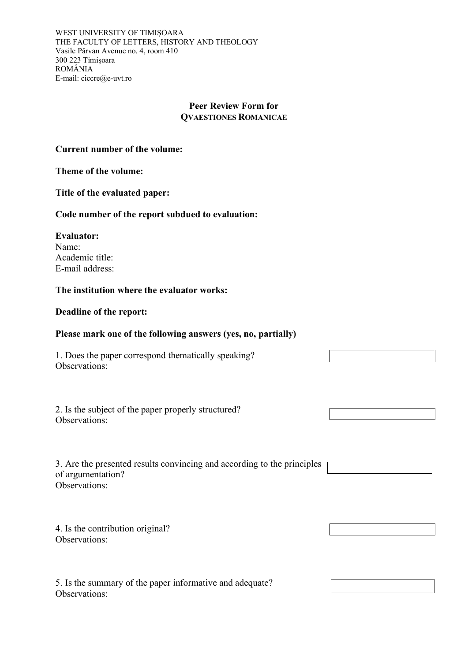WEST UNIVERSITY OF TIMIȘOARA THE FACULTY OF LETTERS, HISTORY AND THEOLOGY Vasile Pârvan Avenue no. 4, room 410 300 223 Timişoara ROMÂNIA E-mail: ciccre@e-uvt.ro

# **Peer Review Form for QVAESTIONES ROMANICAE**

## **Current number of the volume:**

### **Theme of the volume:**

**Title of the evaluated paper:** 

### **Code number of the report subdued to evaluation:**

**Evaluator:**  Name: Academic title: E-mail address:

### **The institution where the evaluator works:**

#### **Deadline of the report:**

### **Please mark one of the following answers (yes, no, partially)**

1. Does the paper correspond thematically speaking? Observations:

2. Is the subject of the paper properly structured? Observations:

| 3. Are the presented results convincing and according to the principles |
|-------------------------------------------------------------------------|
| of argumentation?                                                       |
| Observations:                                                           |

4. Is the contribution original? Observations:

5. Is the summary of the paper informative and adequate? Observations: